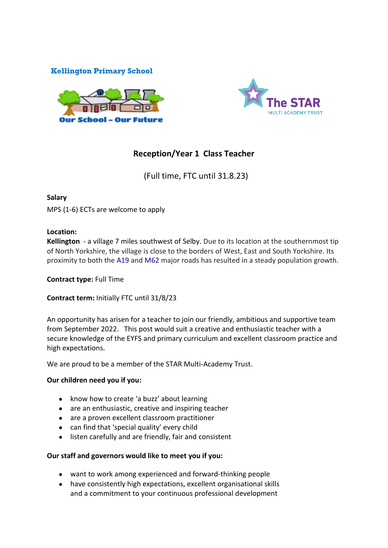## **Kellington Primary School**





# **Reception/Year 1 Class Teacher**

(Full time, FTC until 31.8.23)

#### **Salary**

MPS (1-6) ECTs are welcome to apply

#### **Location:**

**Kellington** - a village 7 miles southwest of Selby. Due to its location at the southernmost tip of North Yorkshire, the village is close to the borders of West, East and South Yorkshire. Its proximity to both the [A19](https://en.wikipedia.org/wiki/A19_road) and [M62](https://en.wikipedia.org/wiki/M62_motorway) major roads has resulted in a steady population growth.

#### **Contract type:** Full Time

**Contract term:** Initially FTC until 31/8/23

An opportunity has arisen for a teacher to join our friendly, ambitious and supportive team from September 2022. This post would suit a creative and enthusiastic teacher with a secure knowledge of the EYFS and primary curriculum and excellent classroom practice and high expectations.

We are proud to be a member of the STAR Multi-Academy Trust.

#### **Our children need you if you:**

- know how to create 'a buzz' about learning
- are an enthusiastic, creative and inspiring teacher
- are a proven excellent classroom practitioner
- can find that 'special quality' every child
- listen carefully and are friendly, fair and consistent

#### **Our staff and governors would like to meet you if you:**

- want to work among experienced and forward-thinking people
- have consistently high expectations, excellent organisational skills and a commitment to your continuous professional development